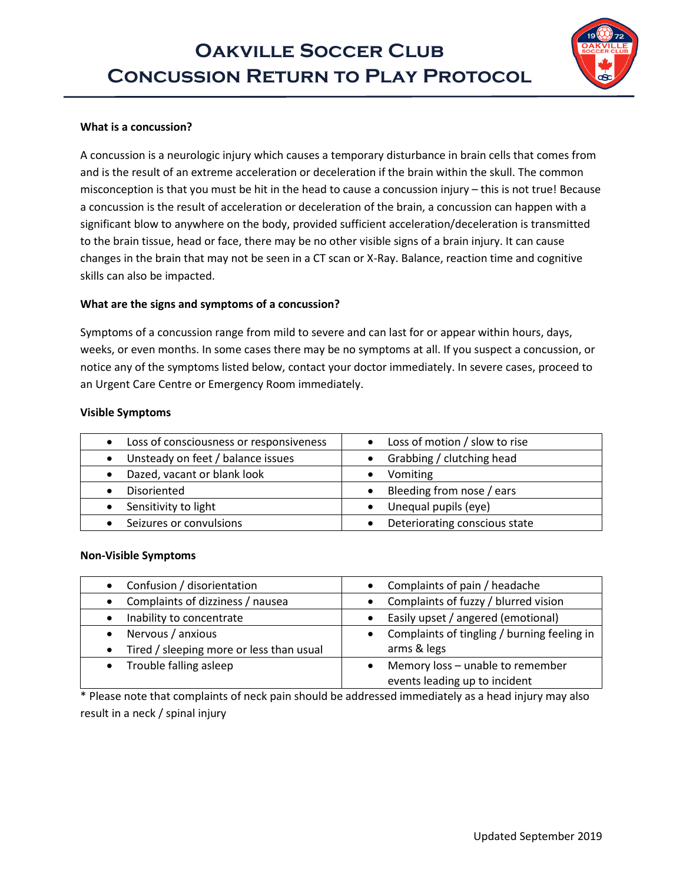# **Oakville Soccer Club CONCUSSION RETURN TO PLAY PROTOCOL**



### **What is a concussion?**

A concussion is a neurologic injury which causes a temporary disturbance in brain cells that comes from and is the result of an extreme acceleration or deceleration if the brain within the skull. The common misconception is that you must be hit in the head to cause a concussion injury – this is not true! Because a concussion is the result of acceleration or deceleration of the brain, a concussion can happen with a significant blow to anywhere on the body, provided sufficient acceleration/deceleration is transmitted to the brain tissue, head or face, there may be no other visible signs of a brain injury. It can cause changes in the brain that may not be seen in a CT scan or X-Ray. Balance, reaction time and cognitive skills can also be impacted.

#### **What are the signs and symptoms of a concussion?**

Symptoms of a concussion range from mild to severe and can last for or appear within hours, days, weeks, or even months. In some cases there may be no symptoms at all. If you suspect a concussion, or notice any of the symptoms listed below, contact your doctor immediately. In severe cases, proceed to an Urgent Care Centre or Emergency Room immediately.

#### **Visible Symptoms**

| Loss of consciousness or responsiveness<br>$\bullet$ | • Loss of motion / slow to rise |
|------------------------------------------------------|---------------------------------|
| Unsteady on feet / balance issues                    | Grabbing / clutching head       |
| Dazed, vacant or blank look                          | Vomiting                        |
| Disoriented                                          | • Bleeding from nose / ears     |
| Sensitivity to light                                 | Unequal pupils (eye)            |
| Seizures or convulsions                              | Deteriorating conscious state   |

#### **Non-Visible Symptoms**

| Confusion / disorientation               | Complaints of pain / headache<br>$\bullet$      |
|------------------------------------------|-------------------------------------------------|
| Complaints of dizziness / nausea         | • Complaints of fuzzy / blurred vision          |
| Inability to concentrate                 | Easily upset / angered (emotional)<br>$\bullet$ |
| Nervous / anxious                        | • Complaints of tingling / burning feeling in   |
| Tired / sleeping more or less than usual | arms & legs                                     |
| • Trouble falling asleep                 | Memory loss - unable to remember                |
|                                          | events leading up to incident                   |

\* Please note that complaints of neck pain should be addressed immediately as a head injury may also result in a neck / spinal injury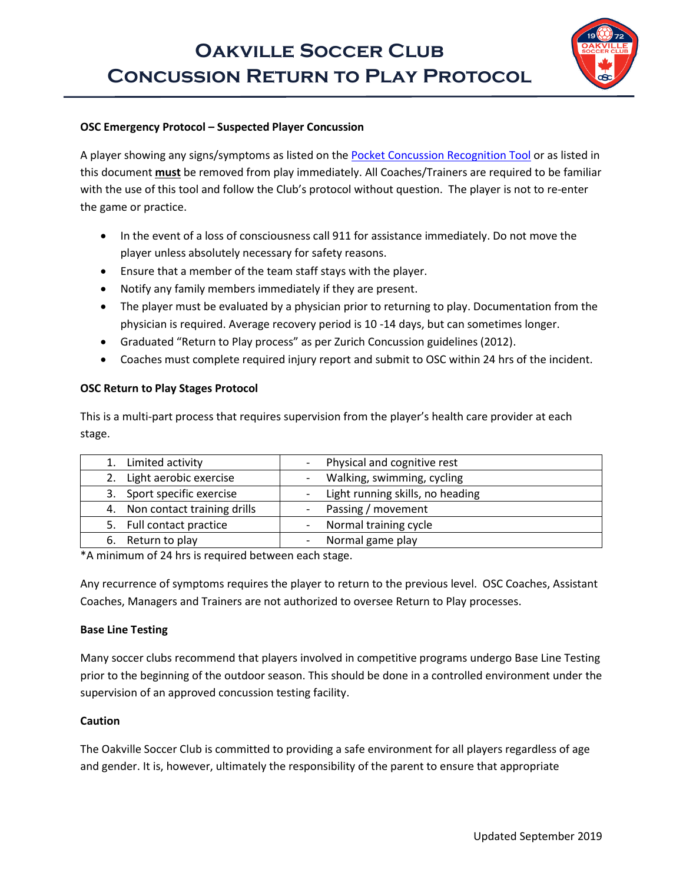

### **OSC Emergency Protocol – Suspected Player Concussion**

A player showing any signs/symptoms as listed on the [Pocket Concussion Recognition Tool](http://www.parachutecanada.org/downloads/resources/CRT5.pdf) or as listed in this document **must** be removed from play immediately. All Coaches/Trainers are required to be familiar with the use of this tool and follow the Club's protocol without question. The player is not to re-enter the game or practice.

- In the event of a loss of consciousness call 911 for assistance immediately. Do not move the player unless absolutely necessary for safety reasons.
- Ensure that a member of the team staff stays with the player.
- Notify any family members immediately if they are present.
- The player must be evaluated by a physician prior to returning to play. Documentation from the physician is required. Average recovery period is 10 -14 days, but can sometimes longer.
- Graduated "Return to Play process" as per Zurich Concussion guidelines (2012).
- Coaches must complete required injury report and submit to OSC within 24 hrs of the incident.

## **OSC Return to Play Stages Protocol**

This is a multi-part process that requires supervision from the player's health care provider at each stage.

| 1. Limited activity            | - Physical and cognitive rest                          |
|--------------------------------|--------------------------------------------------------|
| 2. Light aerobic exercise      | Walking, swimming, cycling<br>$\overline{\phantom{a}}$ |
| 3. Sport specific exercise     | - Light running skills, no heading                     |
| 4. Non contact training drills | - Passing / movement                                   |
| 5. Full contact practice       | Normal training cycle<br>$\overline{\phantom{a}}$      |
| 6. Return to play              | Normal game play<br>$\overline{\phantom{a}}$           |

\*A minimum of 24 hrs is required between each stage.

Any recurrence of symptoms requires the player to return to the previous level. OSC Coaches, Assistant Coaches, Managers and Trainers are not authorized to oversee Return to Play processes.

### **Base Line Testing**

Many soccer clubs recommend that players involved in competitive programs undergo Base Line Testing prior to the beginning of the outdoor season. This should be done in a controlled environment under the supervision of an approved concussion testing facility.

### **Caution**

The Oakville Soccer Club is committed to providing a safe environment for all players regardless of age and gender. It is, however, ultimately the responsibility of the parent to ensure that appropriate